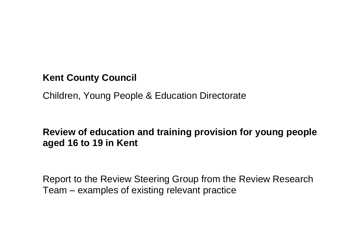# **Kent County Council**

Children, Young People & Education Directorate

# **Review of education and training provision for young people aged 16 to 19 in Kent**

Report to the Review Steering Group from the Review Research Team – examples of existing relevant practice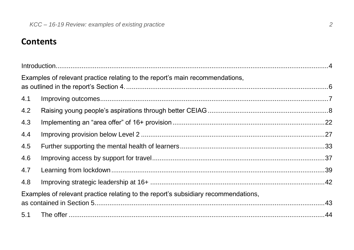# **Contents**

|     | Examples of relevant practice relating to the report's main recommendations,       |  |
|-----|------------------------------------------------------------------------------------|--|
| 4.1 |                                                                                    |  |
| 4.2 |                                                                                    |  |
| 4.3 |                                                                                    |  |
| 4.4 |                                                                                    |  |
| 4.5 |                                                                                    |  |
| 4.6 |                                                                                    |  |
| 4.7 |                                                                                    |  |
| 4.8 |                                                                                    |  |
|     | Examples of relevant practice relating to the report's subsidiary recommendations, |  |
|     |                                                                                    |  |
| 5.1 |                                                                                    |  |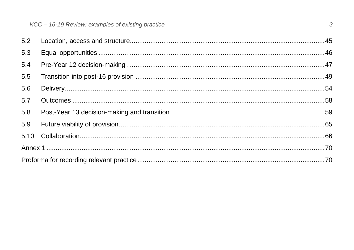<span id="page-2-0"></span>

| 5.3 |  |
|-----|--|
| 5.4 |  |
| 5.5 |  |
| 5.6 |  |
| 5.7 |  |
| 5.8 |  |
| 5.9 |  |
|     |  |
|     |  |
|     |  |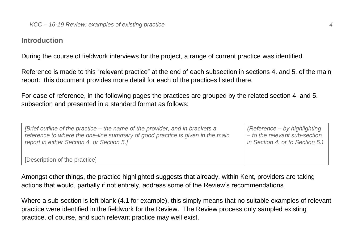#### **Introduction**

During the course of fieldwork interviews for the project, a range of current practice was identified.

Reference is made to this "relevant practice" at the end of each subsection in sections 4. and 5. of the main report: this document provides more detail for each of the practices listed there.

For ease of reference, in the following pages the practices are grouped by the related section 4. and 5. subsection and presented in a standard format as follows:

| [Brief outline of the practice – the name of the provider, and in brackets a  | (Reference – by highlighting    |
|-------------------------------------------------------------------------------|---------------------------------|
| reference to where the one-line summary of good practice is given in the main | - to the relevant sub-section   |
| report in either Section 4. or Section 5.1                                    | in Section 4. or to Section 5.) |
| [Description of the practice]                                                 |                                 |

Amongst other things, the practice highlighted suggests that already, within Kent, providers are taking actions that would, partially if not entirely, address some of the Review's recommendations.

Where a sub-section is left blank (4.1 for example), this simply means that no suitable examples of relevant practice were identified in the fieldwork for the Review. The Review process only sampled existing practice, of course, and such relevant practice may well exist.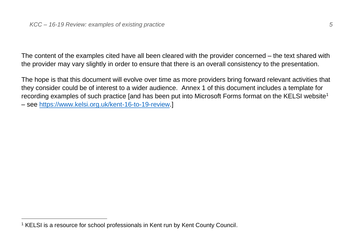The content of the examples cited have all been cleared with the provider concerned – the text shared with the provider may vary slightly in order to ensure that there is an overall consistency to the presentation.

The hope is that this document will evolve over time as more providers bring forward relevant activities that they consider could be of interest to a wider audience. Annex 1 of this document includes a template for recording examples of such practice [and has been put into Microsoft Forms format on the KELSI website<sup>1</sup> – see [https://www.kelsi.org.uk/kent-16-to-19-review.](https://www.kelsi.org.uk/kent-16-to-19-review)]

<sup>1</sup> KELSI is a resource for school professionals in Kent run by Kent County Council.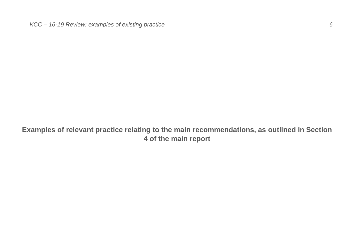<span id="page-5-0"></span>**Examples of relevant practice relating to the main recommendations, as outlined in Section 4 of the main report**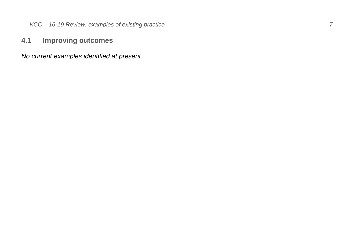#### <span id="page-6-0"></span>**4.1 Improving outcomes**

*No current examples identified at present.*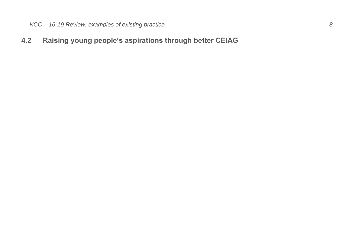## <span id="page-7-0"></span>**4.2 Raising young people's aspirations through better CEIAG**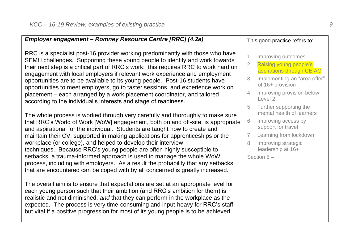*Employer engagement – Romney Resource Centre [RRC] (4.2a)*

| RRC is a specialist post-16 provider working predominantly with those who have<br>SEMH challenges. Supporting these young people to identify and work towards<br>their next step is a critical part of RRC's work: this requires RRC to work hard on<br>engagement with local employers if relevant work experience and employment<br>opportunities are to be available to its young people. Post-16 students have<br>opportunities to meet employers, go to taster sessions, and experience work on<br>placement – each arranged by a work placement coordinator, and tailored<br>according to the individual's interests and stage of readiness.                                                                        | 1.<br>2.<br>3.<br>4.<br>5. | Improving outcomes<br>Raising young people's<br>aspirations through CEIAG<br>Implementing an "area offer"<br>of 16+ provision<br>Improving provision below<br>Level 2<br>Further supporting the |
|---------------------------------------------------------------------------------------------------------------------------------------------------------------------------------------------------------------------------------------------------------------------------------------------------------------------------------------------------------------------------------------------------------------------------------------------------------------------------------------------------------------------------------------------------------------------------------------------------------------------------------------------------------------------------------------------------------------------------|----------------------------|-------------------------------------------------------------------------------------------------------------------------------------------------------------------------------------------------|
| The whole process is worked through very carefully and thoroughly to make sure<br>that RRC's World of Work [WoW] engagement, both on and off-site, is appropriate<br>and aspirational for the individual. Students are taught how to create and<br>maintain their CV, supported in making applications for apprenticeships or the<br>workplace (or college), and helped to develop their interview<br>techniques. Because RRC's young people are often highly susceptible to<br>setbacks, a trauma-informed approach is used to manage the whole WoW<br>process, including with employers. As a result the probability that any setbacks<br>that are encountered can be coped with by all concerned is greatly increased. | 6.<br>7.<br>8.             | mental health of learners<br>Improving access by<br>support for travel<br>Learning from lockdown<br>Improving strategic<br>leadership at 16+<br>Section $5-$                                    |
| The overall aim is to ensure that expectations are set at an appropriate level for<br>each young person such that their ambition (and RRC's ambition for them) is<br>realistic and not diminished, and that they can perform in the workplace as the<br>expected. The process is very time-consuming and input-heavy for RRC's staff,<br>but vital if a positive progression for most of its young people is to be achieved.                                                                                                                                                                                                                                                                                              |                            |                                                                                                                                                                                                 |

This good practice refers to: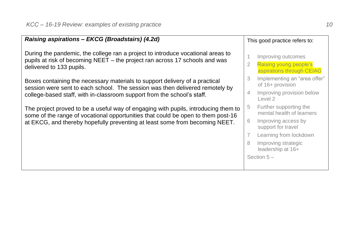| Raising aspirations - EKCG (Broadstairs) (4.2d)                                                                                                                                                                                        |   | This good practice refers to:                                             |
|----------------------------------------------------------------------------------------------------------------------------------------------------------------------------------------------------------------------------------------|---|---------------------------------------------------------------------------|
| During the pandemic, the college ran a project to introduce vocational areas to<br>pupils at risk of becoming NEET – the project ran across 17 schools and was<br>delivered to 133 pupils.                                             | 2 | Improving outcomes<br>Raising young people's<br>aspirations through CEIAG |
| Boxes containing the necessary materials to support delivery of a practical<br>session were sent to each school. The session was then delivered remotely by<br>college-based staff, with in-classroom support from the school's staff. | 3 | Implementing an "area offer"<br>of 16+ provision                          |
|                                                                                                                                                                                                                                        | 4 | Improving provision below<br>Level 2                                      |
| The project proved to be a useful way of engaging with pupils, introducing them to<br>some of the range of vocational opportunities that could be open to them post-16                                                                 | 5 | Further supporting the<br>mental health of learners                       |
| at EKCG, and thereby hopefully preventing at least some from becoming NEET.                                                                                                                                                            | 6 | Improving access by<br>support for travel                                 |
|                                                                                                                                                                                                                                        |   | Learning from lockdown                                                    |
|                                                                                                                                                                                                                                        |   | Improving strategic<br>leadership at 16+                                  |
|                                                                                                                                                                                                                                        |   | Section $5-$                                                              |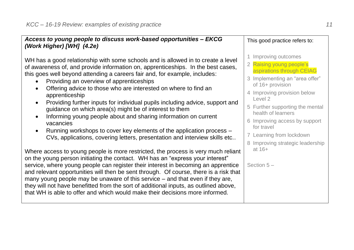| Access to young people to discuss work-based opportunities - EKCG                                                                                                                                                                                                                                                                                                                                                                                                                                                                                                                                                                                                                                                                                                                                                          | This good practice refers to:                                                                                                                                                                                                                                                                                                                       |
|----------------------------------------------------------------------------------------------------------------------------------------------------------------------------------------------------------------------------------------------------------------------------------------------------------------------------------------------------------------------------------------------------------------------------------------------------------------------------------------------------------------------------------------------------------------------------------------------------------------------------------------------------------------------------------------------------------------------------------------------------------------------------------------------------------------------------|-----------------------------------------------------------------------------------------------------------------------------------------------------------------------------------------------------------------------------------------------------------------------------------------------------------------------------------------------------|
| (Work Higher) [WH] (4.2e)<br>WH has a good relationship with some schools and is allowed in to create a level<br>of awareness of, and provide information on, apprenticeships. In the best cases,<br>this goes well beyond attending a careers fair and, for example, includes:<br>Providing an overview of apprenticeships<br>Offering advice to those who are interested on where to find an<br>apprenticeship<br>Providing further inputs for individual pupils including advice, support and<br>$\bullet$<br>guidance on which area(s) might be of interest to them<br>Informing young people about and sharing information on current<br>$\bullet$<br>vacancies<br>Running workshops to cover key elements of the application process -<br>CVs, applications, covering letters, presentation and interview skills etc | Improving outcomes<br>2 Raising young people's<br>aspirations through CEIAG<br>3 Implementing an "area offer"<br>of 16+ provision<br>4 Improving provision below<br>Level 2<br>5 Further supporting the mental<br>health of learners<br>6 Improving access by support<br>for travel<br>7 Learning from lockdown<br>8 Improving strategic leadership |
| Where access to young people is more restricted, the process is very much reliant<br>on the young person initiating the contact. WH has an "express your interest"<br>service, where young people can register their interest in becoming an apprentice<br>and relevant opportunities will then be sent through. Of course, there is a risk that<br>many young people may be unaware of this service – and that even if they are,<br>they will not have benefitted from the sort of additional inputs, as outlined above,<br>that WH is able to offer and which would make their decisions more informed.                                                                                                                                                                                                                  | at $16+$<br>Section $5-$                                                                                                                                                                                                                                                                                                                            |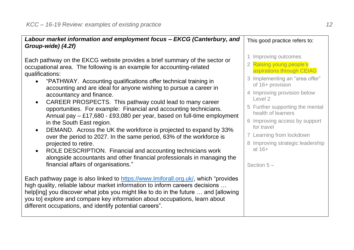| Labour market information and employment focus - EKCG (Canterbury, and<br>Group-wide) (4.2f)                                                                                                                                                                                                                                                                                                                                                                                                                                                                                                                                                                                                                                                                                                                                                                                                                                                                                     | This good practice refers to:                                                                                                                                                                                                                                                                                                                                                     |  |
|----------------------------------------------------------------------------------------------------------------------------------------------------------------------------------------------------------------------------------------------------------------------------------------------------------------------------------------------------------------------------------------------------------------------------------------------------------------------------------------------------------------------------------------------------------------------------------------------------------------------------------------------------------------------------------------------------------------------------------------------------------------------------------------------------------------------------------------------------------------------------------------------------------------------------------------------------------------------------------|-----------------------------------------------------------------------------------------------------------------------------------------------------------------------------------------------------------------------------------------------------------------------------------------------------------------------------------------------------------------------------------|--|
| Each pathway on the EKCG website provides a brief summary of the sector or<br>occupational area. The following is an example for accounting-related<br>qualifications:<br>"PATHWAY. Accounting qualifications offer technical training in<br>accounting and are ideal for anyone wishing to pursue a career in<br>accountancy and finance.<br>CAREER PROSPECTS. This pathway could lead to many career<br>$\bullet$<br>opportunities. For example: Financial and accounting technicians.<br>Annual pay - £17,680 - £93,080 per year, based on full-time employment<br>in the South East region.<br>DEMAND. Across the UK the workforce is projected to expand by 33%<br>$\bullet$<br>over the period to 2027. In the same period, 63% of the workforce is<br>projected to retire.<br>ROLE DESCRIPTION. Financial and accounting technicians work<br>$\bullet$<br>alongside accountants and other financial professionals in managing the<br>financial affairs of organisations." | 1 Improving outcomes<br>2 Raising young people's<br>aspirations through CEIAG<br>3 Implementing an "area offer"<br>of 16+ provision<br>4 Improving provision below<br>Level 2<br>5 Further supporting the mental<br>health of learners<br>6 Improving access by support<br>for travel<br>7 Learning from lockdown<br>8 Improving strategic leadership<br>at $16+$<br>Section $5-$ |  |
| Each pathway page is also linked to https://www.lmiforall.org.uk/, which "provides"<br>high quality, reliable labour market information to inform careers decisions<br>help[ing] you discover what jobs you might like to do in the future  and [allowing]<br>you to] explore and compare key information about occupations, learn about<br>different occupations, and identify potential careers".                                                                                                                                                                                                                                                                                                                                                                                                                                                                                                                                                                              |                                                                                                                                                                                                                                                                                                                                                                                   |  |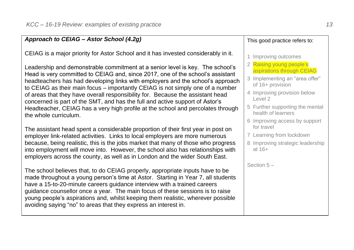#### *Approach to CEIAG – Astor School (4.2g)*

CEIAG is a major priority for Astor School and it has invested considerably in it.

Leadership and demonstrable commitment at a senior level is key. The school's Head is very committed to CEIAG and, since 2017, one of the school's assistant headteachers has had developing links with employers and the school's approach to CEIAG as their main focus – importantly CEIAG is not simply one of a number of areas that they have overall responsibility for. Because the assistant head concerned is part of the SMT, and has the full and active support of Astor's Headteacher, CEIAG has a very high profile at the school and percolates through the whole curriculum.

The assistant head spent a considerable proportion of their first year in post on employer link-related activities. Links to local employers are more numerous because, being realistic, this is the jobs market that many of those who progress into employment will move into. However, the school also has relationships with employers across the county, as well as in London and the wider South East.

The school believes that, to do CEIAG properly, appropriate inputs have to be made throughout a young person's time at Astor. Starting in Year 7, all students have a 15-to-20-minute careers guidance interview with a trained careers guidance counsellor once a year. The main focus of these sessions is to raise young people's aspirations and, whilst keeping them realistic, wherever possible avoiding saying "no" to areas that they express an interest in.

#### This good practice refers to:

#### 1 Improving outcomes

- 2 Raising young people's aspirations through CEIAG
- 3 Implementing an "area offer" of 16+ provision
- 4 Improving provision below Level 2
- 5 Further supporting the mental health of learners
- 6 Improving access by support for travel
- 7 Learning from lockdown
- 8 Improving strategic leadership at 16+

Section 5 –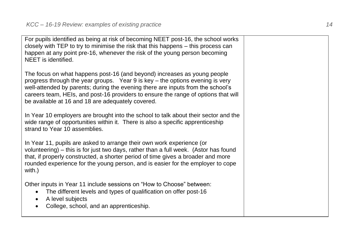For pupils identified as being at risk of becoming NEET post-16, the school works closely with TEP to try to minimise the risk that this happens – this process can happen at any point pre-16, whenever the risk of the young person becoming NEET is identified. The focus on what happens post-16 (and beyond) increases as young people progress through the year groups. Year 9 is key – the options evening is very well-attended by parents; during the evening there are inputs from the school's careers team, HEIs, and post-16 providers to ensure the range of options that will be available at 16 and 18 are adequately covered. In Year 10 employers are brought into the school to talk about their sector and the wide range of opportunities within it. There is also a specific apprenticeship strand to Year 10 assemblies. In Year 11, pupils are asked to arrange their own work experience (or volunteering) – this is for just two days, rather than a full week. (Astor has found that, if properly constructed, a shorter period of time gives a broader and more rounded experience for the young person, and is easier for the employer to cope with.) Other inputs in Year 11 include sessions on "How to Choose" between: • The different levels and types of qualification on offer post-16 • A level subjects • College, school, and an apprenticeship.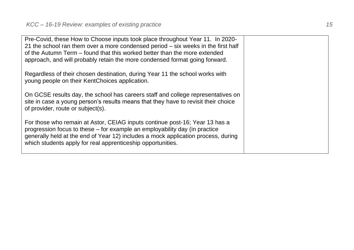| Pre-Covid, these How to Choose inputs took place throughout Year 11. In 2020-<br>21 the school ran them over a more condensed period - six weeks in the first half<br>of the Autumn Term – found that this worked better than the more extended<br>approach, and will probably retain the more condensed format going forward. |  |
|--------------------------------------------------------------------------------------------------------------------------------------------------------------------------------------------------------------------------------------------------------------------------------------------------------------------------------|--|
| Regardless of their chosen destination, during Year 11 the school works with<br>young people on their KentChoices application.                                                                                                                                                                                                 |  |
| On GCSE results day, the school has careers staff and college representatives on<br>site in case a young person's results means that they have to revisit their choice<br>of provider, route or subject(s).                                                                                                                    |  |
| For those who remain at Astor, CEIAG inputs continue post-16; Year 13 has a<br>progression focus to these – for example an employability day (in practice<br>generally held at the end of Year 12) includes a mock application process, during<br>which students apply for real apprenticeship opportunities.                  |  |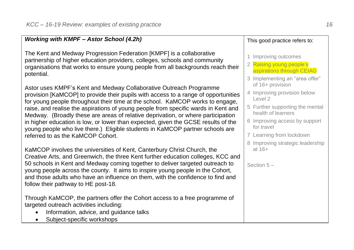#### *Working with KMPF – Astor School (4.2h)*

The Kent and Medway Progression Federation [KMPF] is a collaborative partnership of higher education providers, colleges, schools and community organisations that works to ensure young people from all backgrounds reach their potential.

Astor uses KMPF's Kent and Medway Collaborative Outreach Programme provision [KaMCOP] to provide their pupils with access to a range of opportunities for young people throughout their time at the school. KaMCOP works to engage, raise, and realise the aspirations of young people from specific wards in Kent and Medway. (Broadly these are areas of relative deprivation, or where participation in higher education is low, or lower than expected, given the GCSE results of the young people who live there.) Eligible students in KaMCOP partner schools are referred to as the KaMCOP Cohort.

KaMCOP involves the universities of Kent, Canterbury Christ Church, the Creative Arts, and Greenwich, the three Kent further education colleges, KCC and 50 schools in Kent and Medway coming together to deliver targeted outreach to young people across the county. It aims to inspire young people in the Cohort, and those adults who have an influence on them, with the confidence to find and follow their pathway to HE post-18.

Through KaMCOP, the partners offer the Cohort access to a free programme of targeted outreach activities including:

- Information, advice, and guidance talks
- Subject-specific workshops

## This good practice refers to: 1 Improving outcomes 2 Raising young people's aspirations through CEIAG 3 Implementing an "area offer" of 16+ provision

- 4 Improving provision below Level 2
- 5 Further supporting the mental health of learners
- 6 Improving access by support for travel
- 7 Learning from lockdown
- 8 Improving strategic leadership at 16+

Section 5 –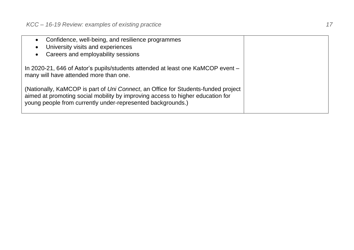| Confidence, well-being, and resilience programmes<br>University visits and experiences<br>$\bullet$<br>Careers and employability sessions<br>$\bullet$                                                                             |  |
|------------------------------------------------------------------------------------------------------------------------------------------------------------------------------------------------------------------------------------|--|
| In 2020-21, 646 of Astor's pupils/students attended at least one KaMCOP event -<br>many will have attended more than one.                                                                                                          |  |
| (Nationally, KaMCOP is part of Uni Connect, an Office for Students-funded project<br>aimed at promoting social mobility by improving access to higher education for<br>young people from currently under-represented backgrounds.) |  |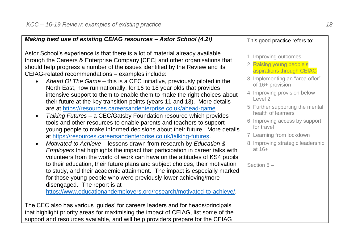| Making best use of existing CEIAG resources – Astor School (4.2i)                                                                                                                                                                                                                                                                    | This good practice refers to:                                                                |
|--------------------------------------------------------------------------------------------------------------------------------------------------------------------------------------------------------------------------------------------------------------------------------------------------------------------------------------|----------------------------------------------------------------------------------------------|
| Astor School's experience is that there is a lot of material already available<br>through the Careers & Enterprise Company [CEC] and other organisations that<br>should help progress a number of the issues identified by the Review and its<br>CEIAG-related recommendations - examples include:                                   | 1 Improving outcomes<br>2 Raising young people's<br>aspirations through CEIAG                |
| Ahead Of The Game – this is a CEC initiative, previously piloted in the<br>North East, now run nationally, for 16 to 18 year olds that provides<br>intensive support to them to enable them to make the right choices about<br>their future at the key transition points (years 11 and 13). More details                             | 3 Implementing an "area offer"<br>of 16+ provision<br>4 Improving provision below<br>Level 2 |
| are at https://resources.careersandenterprise.co.uk/ahead-game.<br>Talking Futures - a CEC/Gatsby Foundation resource which provides                                                                                                                                                                                                 | 5 Further supporting the mental<br>health of learners<br>6 Improving access by support       |
| tools and other resources to enable parents and teachers to support<br>young people to make informed decisions about their future. More details<br>at https://resources.careersandenterprise.co.uk/talking-futures.                                                                                                                  | for travel<br>7 Learning from lockdown                                                       |
| Motivated to Achieve - lessons drawn from research by Education &<br>$\bullet$<br>Employers that highlights the impact that participation in career talks with<br>volunteers from the world of work can have on the attitudes of KS4 pupils                                                                                          | 8 Improving strategic leadership<br>at 16+                                                   |
| to their education, their future plans and subject choices, their motivation<br>to study, and their academic attainment. The impact is especially marked<br>for those young people who were previously lower achieving/more<br>disengaged. The report is at<br>https://www.educationandemployers.org/research/motivated-to-achieve/. | Section $5-$                                                                                 |
| The CEC also has various 'guides' for careers leaders and for heads/principals<br>that highlight priority areas for maximising the impact of CEIAG, list some of the<br>support and resources available, and will help providers prepare for the CEIAG                                                                               |                                                                                              |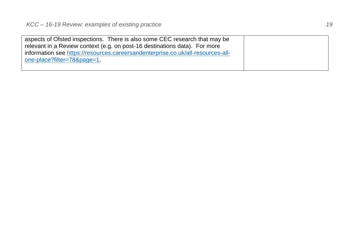| aspects of Ofsted inspections. There is also some CEC research that may be      |  |
|---------------------------------------------------------------------------------|--|
| relevant in a Review context (e.g. on post-16 destinations data). For more      |  |
| information see https://resources.careersandenterprise.co.uk/all-resources-all- |  |
| one-place?filter=78&page=1.                                                     |  |
|                                                                                 |  |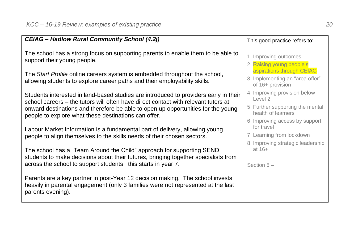| CEIAG - Hadlow Rural Community School (4.2j)                                                                                                                                                                                                                                                                           | This good practice refers to:                                                   |  |
|------------------------------------------------------------------------------------------------------------------------------------------------------------------------------------------------------------------------------------------------------------------------------------------------------------------------|---------------------------------------------------------------------------------|--|
| The school has a strong focus on supporting parents to enable them to be able to<br>support their young people.                                                                                                                                                                                                        | 1 Improving outcomes<br>2 Raising young people's                                |  |
| The Start Profile online careers system is embedded throughout the school,<br>allowing students to explore career paths and their employability skills.                                                                                                                                                                | aspirations through CEIAG<br>3 Implementing an "area offer"<br>of 16+ provision |  |
| Students interested in land-based studies are introduced to providers early in their<br>school careers - the tutors will often have direct contact with relevant tutors at<br>onward destinations and therefore be able to open up opportunities for the young<br>people to explore what these destinations can offer. | 4 Improving provision below<br>Level 2                                          |  |
|                                                                                                                                                                                                                                                                                                                        | 5 Further supporting the mental<br>health of learners                           |  |
| Labour Market Information is a fundamental part of delivery, allowing young                                                                                                                                                                                                                                            | 6 Improving access by support<br>for travel                                     |  |
| people to align themselves to the skills needs of their chosen sectors.                                                                                                                                                                                                                                                | 7 Learning from lockdown                                                        |  |
| The school has a "Team Around the Child" approach for supporting SEND                                                                                                                                                                                                                                                  | 8 Improving strategic leadership<br>at $16+$                                    |  |
| students to make decisions about their futures, bringing together specialists from<br>across the school to support students: this starts in year 7.                                                                                                                                                                    | Section $5-$                                                                    |  |
| Parents are a key partner in post-Year 12 decision making. The school invests<br>heavily in parental engagement (only 3 families were not represented at the last<br>parents evening).                                                                                                                                 |                                                                                 |  |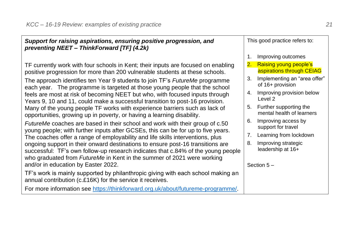| Support for raising aspirations, ensuring positive progression, and<br>preventing NEET - ThinkForward [TF] (4.2k)                                                       |    | This good practice refers to:                              |  |
|-------------------------------------------------------------------------------------------------------------------------------------------------------------------------|----|------------------------------------------------------------|--|
|                                                                                                                                                                         |    | Improving outcomes                                         |  |
| TF currently work with four schools in Kent; their inputs are focused on enabling<br>positive progression for more than 200 vulnerable students at these schools.       | 2. | <b>Raising young people's</b><br>aspirations through CEIAG |  |
| The approach identifies ten Year 9 students to join TF's FutureMe programme<br>each year. The programme is targeted at those young people that the school               | 3. | Implementing an "area offer"<br>of 16+ provision           |  |
| feels are most at risk of becoming NEET but who, with focused inputs through<br>Years 9, 10 and 11, could make a successful transition to post-16 provision.            | 4. | Improving provision below<br>Level 2                       |  |
| Many of the young people TF works with experience barriers such as lack of<br>opportunities, growing up in poverty, or having a learning disability.                    | 5. | Further supporting the<br>mental health of learners        |  |
| <i>FutureMe</i> coaches are based in their school and work with their group of c.50<br>young people; with further inputs after GCSEs, this can be for up to five years. | 6. | Improving access by<br>support for travel                  |  |
| The coaches offer a range of employability and life skills interventions, plus                                                                                          |    | Learning from lockdown                                     |  |
| ongoing support in their onward destinations to ensure post-16 transitions are<br>successful: TE's own follow-up research indicates that c 84% of the voung people      | 8. | Improving strategic<br>leadership at 16+                   |  |

ongoing support in successful: TF's own follow-up research indicates that c.84% of the young people who graduated from *FutureMe* in Kent in the summer of 2021 were working and/or in education by Easter 2022.

TF's work is mainly supported by philanthropic giving with each school making an annual contribution (c.£16K) for the service it receives.

For more information see [https://thinkforward.org.uk/about/futureme-programme/.](https://thinkforward.org.uk/about/futureme-programme/)

Section 5 –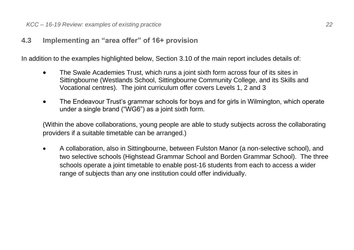### <span id="page-21-0"></span>**4.3 Implementing an "area offer" of 16+ provision**

In addition to the examples highlighted below, Section 3.10 of the main report includes details of:

- The Swale Academies Trust, which runs a joint sixth form across four of its sites in Sittingbourne (Westlands School, Sittingbourne Community College, and its Skills and Vocational centres). The joint curriculum offer covers Levels 1, 2 and 3
- The Endeavour Trust's grammar schools for boys and for girls in Wilmington, which operate under a single brand ("WG6") as a joint sixth form.

(Within the above collaborations, young people are able to study subjects across the collaborating providers if a suitable timetable can be arranged.)

• A collaboration, also in Sittingbourne, between Fulston Manor (a non-selective school), and two selective schools (Highstead Grammar School and Borden Grammar School). The three schools operate a joint timetable to enable post-16 students from each to access a wider range of subjects than any one institution could offer individually.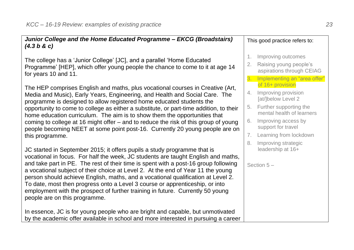| Junior College and the Home Educated Programme - EKCG (Broadstairs)<br>(4.3 b & c)                                                                                                                                                                                                                                                                                                                                                                                                                                                                                                                                              |                      | This good practice refers to:                                                                                |
|---------------------------------------------------------------------------------------------------------------------------------------------------------------------------------------------------------------------------------------------------------------------------------------------------------------------------------------------------------------------------------------------------------------------------------------------------------------------------------------------------------------------------------------------------------------------------------------------------------------------------------|----------------------|--------------------------------------------------------------------------------------------------------------|
| The college has a 'Junior College' [JC], and a parallel 'Home Educated<br>Programme' [HEP], which offer young people the chance to come to it at age 14<br>for years 10 and 11.                                                                                                                                                                                                                                                                                                                                                                                                                                                 | 1.<br>2.             | Improving outcomes<br>Raising young people's<br>aspirations through CEIAG<br>3. Implementing an "area offer" |
| The HEP comprises English and maths, plus vocational courses in Creative (Art,<br>Media and Music), Early Years, Engineering, and Health and Social Care. The<br>programme is designed to allow registered home educated students the                                                                                                                                                                                                                                                                                                                                                                                           | 4.                   | of 16+ provision<br>Improving provision<br>[at/]below Level 2                                                |
| opportunity to come to college as either a substitute, or part-time addition, to their<br>home education curriculum. The aim is to show them the opportunities that                                                                                                                                                                                                                                                                                                                                                                                                                                                             | 5.                   | Further supporting the<br>mental health of learners                                                          |
| coming to college at 16 might offer - and to reduce the risk of this group of young<br>people becoming NEET at some point post-16. Currently 20 young people are on                                                                                                                                                                                                                                                                                                                                                                                                                                                             | 6.                   | Improving access by<br>support for travel                                                                    |
| this programme.                                                                                                                                                                                                                                                                                                                                                                                                                                                                                                                                                                                                                 | 7 <sub>1</sub><br>8. | Learning from lockdown<br>Improving strategic                                                                |
| JC started in September 2015; it offers pupils a study programme that is<br>vocational in focus. For half the week, JC students are taught English and maths,<br>and take part in PE. The rest of their time is spent with a post-16 group following<br>a vocational subject of their choice at Level 2. At the end of Year 11 the young<br>person should achieve English, maths, and a vocational qualification at Level 2.<br>To date, most then progress onto a Level 3 course or apprenticeship, or into<br>employment with the prospect of further training in future. Currently 50 young<br>people are on this programme. |                      | leadership at 16+<br>Section $5-$                                                                            |
| In essence, JC is for young people who are bright and capable, but unmotivated<br>by the academic offer available in school and more interested in pursuing a career                                                                                                                                                                                                                                                                                                                                                                                                                                                            |                      |                                                                                                              |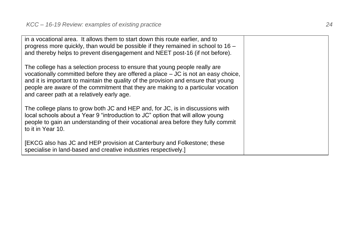| in a vocational area. It allows them to start down this route earlier, and to<br>progress more quickly, than would be possible if they remained in school to $16 -$<br>and thereby helps to prevent disengagement and NEET post-16 (if not before).                                                                                                                                        |  |
|--------------------------------------------------------------------------------------------------------------------------------------------------------------------------------------------------------------------------------------------------------------------------------------------------------------------------------------------------------------------------------------------|--|
| The college has a selection process to ensure that young people really are<br>vocationally committed before they are offered a place $-$ JC is not an easy choice,<br>and it is important to maintain the quality of the provision and ensure that young<br>people are aware of the commitment that they are making to a particular vocation<br>and career path at a relatively early age. |  |
| The college plans to grow both JC and HEP and, for JC, is in discussions with<br>local schools about a Year 9 "introduction to JC" option that will allow young<br>people to gain an understanding of their vocational area before they fully commit<br>to it in Year 10.                                                                                                                  |  |
| [EKCG also has JC and HEP provision at Canterbury and Folkestone; these<br>specialise in land-based and creative industries respectively.]                                                                                                                                                                                                                                                 |  |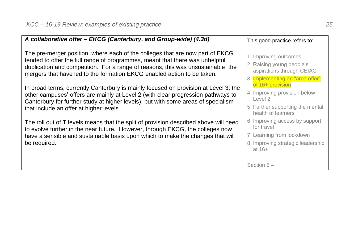| A collaborative offer - EKCG (Canterbury, and Group-wide) (4.3d)                                                                                                                                                                                                                                                             | This good practice refers to:                                                                                           |
|------------------------------------------------------------------------------------------------------------------------------------------------------------------------------------------------------------------------------------------------------------------------------------------------------------------------------|-------------------------------------------------------------------------------------------------------------------------|
| The pre-merger position, where each of the colleges that are now part of EKCG<br>tended to offer the full range of programmes, meant that there was unhelpful<br>duplication and competition. For a range of reasons, this was unsustainable; the<br>mergers that have led to the formation EKCG enabled action to be taken. | 1 Improving outcomes<br>2 Raising young people's<br>aspirations through CEIAG<br>3 Implementing an "area offer"         |
| In broad terms, currently Canterbury is mainly focused on provision at Level 3; the<br>other campuses' offers are mainly at Level 2 (with clear progression pathways to<br>Canterbury for further study at higher levels), but with some areas of specialism<br>that include an offer at higher levels.                      | of 16+ provision<br>4 Improving provision below<br>Level 2<br>5 Further supporting the mental<br>health of learners     |
| The roll out of T levels means that the split of provision described above will need<br>to evolve further in the near future. However, through EKCG, the colleges now<br>have a sensible and sustainable basis upon which to make the changes that will<br>be required.                                                      | 6 Improving access by support<br>for travel<br>7 Learning from lockdown<br>8 Improving strategic leadership<br>at $16+$ |
|                                                                                                                                                                                                                                                                                                                              | Section $5-$                                                                                                            |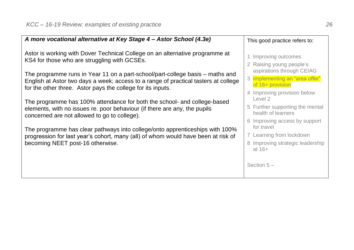| A more vocational alternative at Key Stage 4 - Astor School (4.3e)                                                                                                                                                                  | This good practice refers to:                                                                     |
|-------------------------------------------------------------------------------------------------------------------------------------------------------------------------------------------------------------------------------------|---------------------------------------------------------------------------------------------------|
| Astor is working with Dover Technical College on an alternative programme at<br>KS4 for those who are struggling with GCSEs.                                                                                                        | 1 Improving outcomes<br>2 Raising young people's<br>aspirations through CEIAG                     |
| The programme runs in Year 11 on a part-school/part-college basis – maths and<br>English at Astor two days a week; access to a range of practical tasters at college<br>for the other three. Astor pays the college for its inputs. | 3 Implementing an "area offer"<br>of 16+ provision<br>4 Improving provision below                 |
| The programme has 100% attendance for both the school- and college-based<br>elements, with no issues re. poor behaviour (if there are any, the pupils<br>concerned are not allowed to go to college).                               | Level 2<br>5 Further supporting the mental<br>health of learners<br>6 Improving access by support |
| The programme has clear pathways into college/onto apprenticeships with 100%<br>progression for last year's cohort, many (all) of whom would have been at risk of<br>becoming NEET post-16 otherwise.                               | for travel<br>7 Learning from lockdown<br>8 Improving strategic leadership<br>at $16+$            |
|                                                                                                                                                                                                                                     | Section $5-$                                                                                      |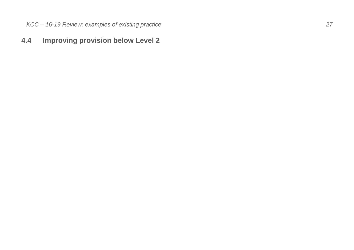## <span id="page-26-0"></span>**4.4 Improving provision below Level 2**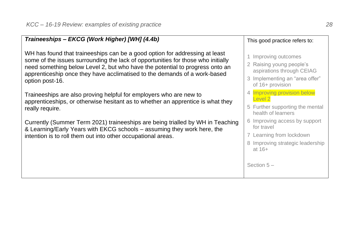| Traineeships - EKCG (Work Higher) [WH] (4.4b)                                                                                                                                                                                                                                                                                                   | This good practice refers to:                                                                                                           |
|-------------------------------------------------------------------------------------------------------------------------------------------------------------------------------------------------------------------------------------------------------------------------------------------------------------------------------------------------|-----------------------------------------------------------------------------------------------------------------------------------------|
| WH has found that traineeships can be a good option for addressing at least<br>some of the issues surrounding the lack of opportunities for those who initially<br>need something below Level 2, but who have the potential to progress onto an<br>apprenticeship once they have acclimatised to the demands of a work-based<br>option post-16. | 1 Improving outcomes<br>2 Raising young people's<br>aspirations through CEIAG<br>3 Implementing an "area offer"<br>of 16+ provision     |
| Traineeships are also proving helpful for employers who are new to<br>apprenticeships, or otherwise hesitant as to whether an apprentice is what they<br>really require.                                                                                                                                                                        | 4 Improving provision below<br>Level 2<br>5 Further supporting the mental<br>health of learners                                         |
| Currently (Summer Term 2021) traineeships are being trialled by WH in Teaching<br>& Learning/Early Years with EKCG schools – assuming they work here, the<br>intention is to roll them out into other occupational areas.                                                                                                                       | 6 Improving access by support<br>for travel<br>7 Learning from lockdown<br>8 Improving strategic leadership<br>at $16+$<br>Section $5-$ |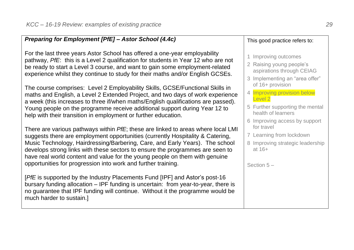#### *Preparing for Employment [PfE] – Astor School (4.4c)*

For the last three years Astor School has offered a one-year employability pathway, *PfE*: this is a Level 2 qualification for students in Year 12 who are not be ready to start a Level 3 course, and want to gain some employment-related experience whilst they continue to study for their maths and/or English GCSEs.

The course comprises: Level 2 Employability Skills, GCSE/Functional Skills in maths and English, a Level 2 Extended Project, and two days of work experience a week (this increases to three if/when maths/English qualifications are passed). Young people on the programme receive additional support during Year 12 to help with their transition in employment or further education.

There are various pathways within *PfE*; these are linked to areas where local LMI suggests there are employment opportunities (currently Hospitality & Catering, Music Technology, Hairdressing/Barbering, Care, and Early Years). The school develops strong links with these sectors to ensure the programmes are seen to have real world content and value for the young people on them with genuine opportunities for progression into work and further training.

[*PfE* is supported by the Industry Placements Fund [IPF] and Astor's post-16 bursary funding allocation – IPF funding is uncertain: from year-to-year, there is no guarantee that IPF funding will continue. Without it the programme would be much harder to sustain.]

#### This good practice refers to:

- 1 Improving outcomes
- 2 Raising young people's aspirations through CEIAG
- 3 Implementing an "area offer" of 16+ provision
- 4 **Improving provision below** Level 2
- 5 Further supporting the mental health of learners
- 6 Improving access by support for travel
- 7 Learning from lockdown
- 8 Improving strategic leadership at 16+

Section 5 –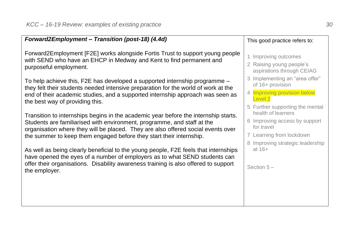| Forward2Employment - Transition (post-18) (4.4d)                                                                                                                                                                                                                                                                          | This good practice refers to:                                                                                                                   |
|---------------------------------------------------------------------------------------------------------------------------------------------------------------------------------------------------------------------------------------------------------------------------------------------------------------------------|-------------------------------------------------------------------------------------------------------------------------------------------------|
| Forward2Employment [F2E] works alongside Fortis Trust to support young people<br>with SEND who have an EHCP in Medway and Kent to find permanent and<br>purposeful employment.                                                                                                                                            | 1 Improving outcomes<br>2 Raising young people's<br>aspirations through CEIAG                                                                   |
| To help achieve this, F2E has developed a supported internship programme -<br>they felt their students needed intensive preparation for the world of work at the<br>end of their academic studies, and a supported internship approach was seen as<br>the best way of providing this.                                     | 3 Implementing an "area offer"<br>of 16+ provision<br>Improving provision below<br>$\overline{4}$<br>Level 2<br>5 Further supporting the mental |
| Transition to internships begins in the academic year before the internship starts.<br>Students are familiarised with environment, programme, and staff at the<br>organisation where they will be placed. They are also offered social events over<br>the summer to keep them engaged before they start their internship. | health of learners<br>6 Improving access by support<br>for travel<br>7 Learning from lockdown<br>8 Improving strategic leadership               |
| As well as being clearly beneficial to the young people, F2E feels that internships<br>have opened the eyes of a number of employers as to what SEND students can<br>offer their organisations. Disability awareness training is also offered to support<br>the employer.                                                 | at $16+$<br>Section $5-$                                                                                                                        |
|                                                                                                                                                                                                                                                                                                                           |                                                                                                                                                 |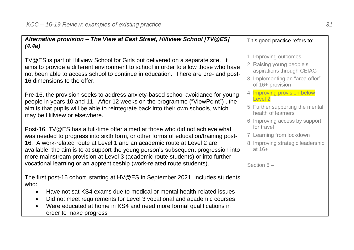| Alternative provision - The View at East Street, Hillview School [TV@ES]<br>(4.4e)                                                                                                                                                                                                                                                                                                                                                                                                                | This good practice refers to:                                                                                                       |
|---------------------------------------------------------------------------------------------------------------------------------------------------------------------------------------------------------------------------------------------------------------------------------------------------------------------------------------------------------------------------------------------------------------------------------------------------------------------------------------------------|-------------------------------------------------------------------------------------------------------------------------------------|
| TV@ES is part of Hillview School for Girls but delivered on a separate site. It<br>aims to provide a different environment to school in order to allow those who have<br>not been able to access school to continue in education. There are pre- and post-<br>16 dimensions to the offer.                                                                                                                                                                                                         | 1 Improving outcomes<br>2 Raising young people's<br>aspirations through CEIAG<br>3 Implementing an "area offer"<br>of 16+ provision |
| Pre-16, the provision seeks to address anxiety-based school avoidance for young<br>people in years 10 and 11. After 12 weeks on the programme ("ViewPoint"), the<br>aim is that pupils will be able to reintegrate back into their own schools, which<br>may be Hillview or elsewhere.                                                                                                                                                                                                            | 4 Improving provision below<br>Level 2<br>5 Further supporting the mental<br>health of learners<br>6 Improving access by support    |
| Post-16, TV@ES has a full-time offer aimed at those who did not achieve what<br>was needed to progress into sixth form, or other forms of education/training post-<br>16. A work-related route at Level 1 and an academic route at Level 2 are<br>available: the aim is to at support the young person's subsequent progression into<br>more mainstream provision at Level 3 (academic route students) or into further<br>vocational learning or an apprenticeship (work-related route students). | for travel<br>7 Learning from lockdown<br>8 Improving strategic leadership<br>at $16+$<br>Section $5-$                              |
| The first post-16 cohort, starting at HV@ES in September 2021, includes students<br>who:<br>Have not sat KS4 exams due to medical or mental health-related issues<br>٠<br>Did not meet requirements for Level 3 vocational and academic courses<br>$\bullet$<br>Were educated at home in KS4 and need more formal qualifications in<br>$\bullet$<br>order to make progress                                                                                                                        |                                                                                                                                     |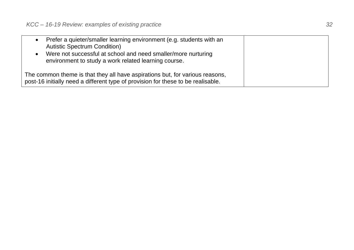| Prefer a quieter/smaller learning environment (e.g. students with an             |  |
|----------------------------------------------------------------------------------|--|
| <b>Autistic Spectrum Condition)</b>                                              |  |
| Were not successful at school and need smaller/more nurturing                    |  |
| environment to study a work related learning course.                             |  |
| The common theme is that they all have aspirations but, for various reasons,     |  |
| post-16 initially need a different type of provision for these to be realisable. |  |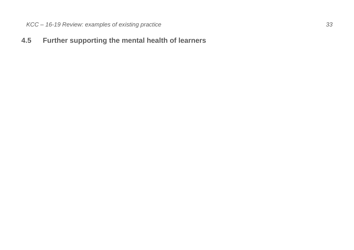### <span id="page-32-0"></span>**4.5 Further supporting the mental health of learners**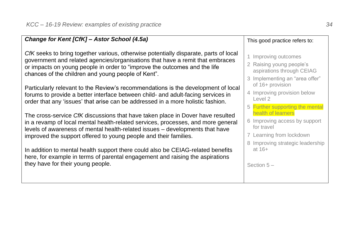| Change for Kent [CfK] - Astor School (4.5a)                                                                                                                                                                                                                                                                            | This good practice refers to:                                                                                                       |
|------------------------------------------------------------------------------------------------------------------------------------------------------------------------------------------------------------------------------------------------------------------------------------------------------------------------|-------------------------------------------------------------------------------------------------------------------------------------|
| CfK seeks to bring together various, otherwise potentially disparate, parts of local<br>government and related agencies/organisations that have a remit that embraces<br>or impacts on young people in order to "improve the outcomes and the life<br>chances of the children and young people of Kent".               | 1 Improving outcomes<br>2 Raising young people's<br>aspirations through CEIAG<br>3 Implementing an "area offer"<br>of 16+ provision |
| Particularly relevant to the Review's recommendations is the development of local<br>forums to provide a better interface between child- and adult-facing services in<br>order that any 'issues' that arise can be addressed in a more holistic fashion.                                                               | 4 Improving provision below<br>Level 2<br>5 Further supporting the mental                                                           |
| The cross-service CfK discussions that have taken place in Dover have resulted<br>in a revamp of local mental health-related services, processes, and more general<br>levels of awareness of mental health-related issues - developments that have<br>improved the support offered to young people and their families. | health of learners<br>6 Improving access by support<br>for travel<br>7 Learning from lockdown<br>8 Improving strategic leadership   |
| In addition to mental health support there could also be CEIAG-related benefits<br>here, for example in terms of parental engagement and raising the aspirations<br>they have for their young people.                                                                                                                  | at $16+$<br>Section $5-$                                                                                                            |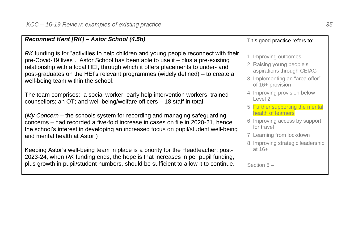| Reconnect Kent [RK] - Astor School (4.5b)                                                                                                                                                                                                                                                                                                                                          | This good practice refers to:                                                                                                       |
|------------------------------------------------------------------------------------------------------------------------------------------------------------------------------------------------------------------------------------------------------------------------------------------------------------------------------------------------------------------------------------|-------------------------------------------------------------------------------------------------------------------------------------|
| RK funding is for "activities to help children and young people reconnect with their<br>pre-Covid-19 lives". Astor School has been able to use it – plus a pre-existing<br>relationship with a local HEI, through which it offers placements to under- and<br>post-graduates on the HEI's relevant programmes (widely defined) – to create a<br>well-being team within the school. | 1 Improving outcomes<br>2 Raising young people's<br>aspirations through CEIAG<br>3 Implementing an "area offer"<br>of 16+ provision |
| The team comprises: a social worker; early help intervention workers; trained<br>counsellors; an OT; and well-being/welfare officers - 18 staff in total.                                                                                                                                                                                                                          | 4 Improving provision below<br>Level 2<br>5 Further supporting the mental                                                           |
| (My Concern – the schools system for recording and managing safeguarding<br>concerns - had recorded a five-fold increase in cases on file in 2020-21, hence<br>the school's interest in developing an increased focus on pupil/student well-being<br>and mental health at Astor.)                                                                                                  | health of learners<br>6 Improving access by support<br>for travel<br>7 Learning from lockdown<br>8 Improving strategic leadership   |
| Keeping Astor's well-being team in place is a priority for the Headteacher; post-<br>2023-24, when RK funding ends, the hope is that increases in per pupil funding,<br>plus growth in pupil/student numbers, should be sufficient to allow it to continue.                                                                                                                        | at $16+$<br>Section $5-$                                                                                                            |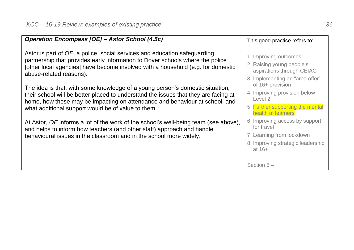| Operation Encompass [OE] - Astor School (4.5c)                                                                                                                                                                                                                                                            | This good practice refers to:                                                                                                           |
|-----------------------------------------------------------------------------------------------------------------------------------------------------------------------------------------------------------------------------------------------------------------------------------------------------------|-----------------------------------------------------------------------------------------------------------------------------------------|
| Astor is part of OE, a police, social services and education safeguarding<br>partnership that provides early information to Dover schools where the police<br>[other local agencies] have become involved with a household (e.g. for domestic<br>abuse-related reasons).                                  | 1 Improving outcomes<br>2 Raising young people's<br>aspirations through CEIAG<br>3 Implementing an "area offer"                         |
| The idea is that, with some knowledge of a young person's domestic situation,<br>their school will be better placed to understand the issues that they are facing at<br>home, how these may be impacting on attendance and behaviour at school, and<br>what additional support would be of value to them. | of 16+ provision<br>4 Improving provision below<br>Level 2<br>5 Further supporting the mental<br>health of learners                     |
| At Astor, OE informs a lot of the work of the school's well-being team (see above),<br>and helps to inform how teachers (and other staff) approach and handle<br>behavioural issues in the classroom and in the school more widely.                                                                       | 6 Improving access by support<br>for travel<br>7 Learning from lockdown<br>8 Improving strategic leadership<br>at $16+$<br>Section $5-$ |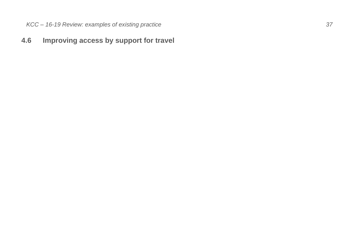### <span id="page-36-0"></span>**4.6 Improving access by support for travel**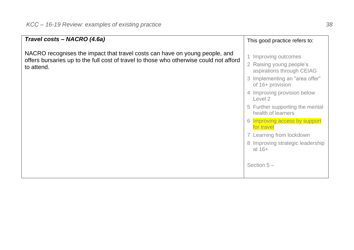| Travel costs - NACRO (4.6a)                                                                                                                                                         | This good practice refers to:                                                                                                                                                                                                                                                                                                                                                     |
|-------------------------------------------------------------------------------------------------------------------------------------------------------------------------------------|-----------------------------------------------------------------------------------------------------------------------------------------------------------------------------------------------------------------------------------------------------------------------------------------------------------------------------------------------------------------------------------|
| NACRO recognises the impact that travel costs can have on young people, and<br>offers bursaries up to the full cost of travel to those who otherwise could not afford<br>to attend. | 1 Improving outcomes<br>2 Raising young people's<br>aspirations through CEIAG<br>3 Implementing an "area offer"<br>of 16+ provision<br>4 Improving provision below<br>Level 2<br>5 Further supporting the mental<br>health of learners<br>6 Improving access by support<br>for travel<br>7 Learning from lockdown<br>8 Improving strategic leadership<br>at $16+$<br>Section $5-$ |
|                                                                                                                                                                                     |                                                                                                                                                                                                                                                                                                                                                                                   |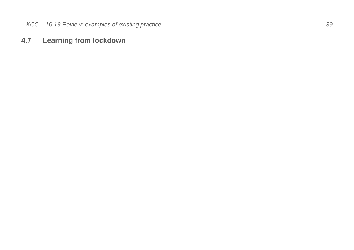#### <span id="page-38-0"></span>**4.7 Learning from lockdown**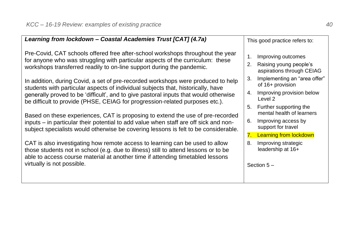| Learning from lockdown - Coastal Academies Trust [CAT] (4.7a)                                                                                                                                                                                         |                | This good practice refers to:                       |
|-------------------------------------------------------------------------------------------------------------------------------------------------------------------------------------------------------------------------------------------------------|----------------|-----------------------------------------------------|
| Pre-Covid, CAT schools offered free after-school workshops throughout the year<br>for anyone who was struggling with particular aspects of the curriculum: these                                                                                      | $\mathbf{1}$ . | Improving outcomes                                  |
| workshops transferred readily to on-line support during the pandemic.                                                                                                                                                                                 | 2.             | Raising young people's<br>aspirations through CEIAG |
| In addition, during Covid, a set of pre-recorded workshops were produced to help<br>students with particular aspects of individual subjects that, historically, have                                                                                  | 3.             | Implementing an "area offer"<br>of 16+ provision    |
| generally proved to be 'difficult', and to give pastoral inputs that would otherwise<br>be difficult to provide (PHSE, CEIAG for progression-related purposes etc.).                                                                                  |                | 4. Improving provision below<br>Level 2             |
| Based on these experiences, CAT is proposing to extend the use of pre-recorded                                                                                                                                                                        | 5.             | Further supporting the<br>mental health of learners |
| inputs - in particular their potential to add value when staff are off sick and non-<br>subject specialists would otherwise be covering lessons is felt to be considerable.                                                                           | 6.             | Improving access by<br>support for travel           |
|                                                                                                                                                                                                                                                       |                | 7. Learning from lockdown                           |
| CAT is also investigating how remote access to learning can be used to allow<br>those students not in school (e.g. due to illness) still to attend lessons or to be<br>able to access course material at another time if attending timetabled lessons | 8.             | Improving strategic<br>leadership at 16+            |
| virtually is not possible.                                                                                                                                                                                                                            |                | Section $5-$                                        |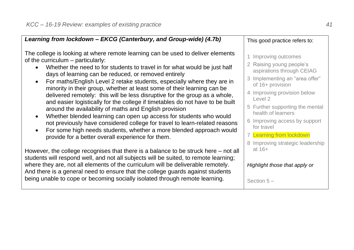| Learning from lockdown - EKCG (Canterbury, and Group-wide) (4.7b)                                                                                                                                                                                                                                                                                                                                                                                                                                                                                                                                                                                                                                                                                                                                                                                                                                                        | This good practice refers to:                                                                                                                                                                                                                                                                                                                         |
|--------------------------------------------------------------------------------------------------------------------------------------------------------------------------------------------------------------------------------------------------------------------------------------------------------------------------------------------------------------------------------------------------------------------------------------------------------------------------------------------------------------------------------------------------------------------------------------------------------------------------------------------------------------------------------------------------------------------------------------------------------------------------------------------------------------------------------------------------------------------------------------------------------------------------|-------------------------------------------------------------------------------------------------------------------------------------------------------------------------------------------------------------------------------------------------------------------------------------------------------------------------------------------------------|
| The college is looking at where remote learning can be used to deliver elements<br>of the curriculum - particularly:<br>Whether the need to for students to travel in for what would be just half<br>days of learning can be reduced, or removed entirely<br>For maths/English Level 2 retake students, especially where they are in<br>minority in their group, whether at least some of their learning can be<br>delivered remotely: this will be less disruptive for the group as a whole,<br>and easier logistically for the college if timetables do not have to be built<br>around the availability of maths and English provision<br>Whether blended learning can open up access for students who would<br>not previously have considered college for travel to learn-related reasons<br>For some high needs students, whether a more blended approach would<br>provide for a better overall experience for them. | 1 Improving outcomes<br>2 Raising young people's<br>aspirations through CEIAG<br>3 Implementing an "area offer"<br>of 16+ provision<br>4 Improving provision below<br>Level 2<br>5 Further supporting the mental<br>health of learners<br>6 Improving access by support<br>for travel<br>7 Learning from lockdown<br>8 Improving strategic leadership |
| However, the college recognises that there is a balance to be struck here – not all<br>students will respond well, and not all subjects will be suited, to remote learning;<br>where they are, not all elements of the curriculum will be deliverable remotely.<br>And there is a general need to ensure that the college guards against students<br>being unable to cope or becoming socially isolated through remote learning.                                                                                                                                                                                                                                                                                                                                                                                                                                                                                         | at $16+$<br>Highlight those that apply or<br>Section $5-$                                                                                                                                                                                                                                                                                             |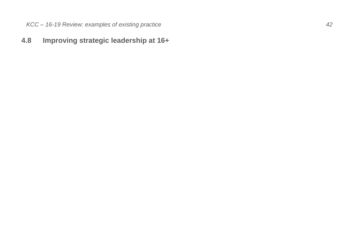### <span id="page-41-0"></span>**4.8 Improving strategic leadership at 16+**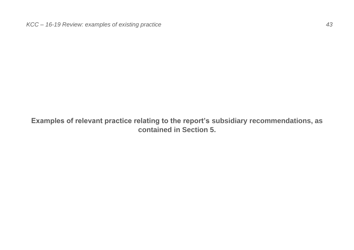<span id="page-42-0"></span>**Examples of relevant practice relating to the report's subsidiary recommendations, as contained in Section 5.**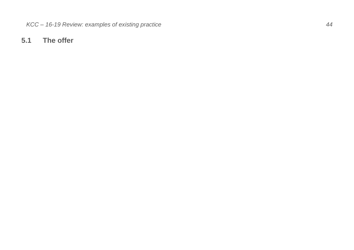#### <span id="page-43-0"></span>**5.1 The offer**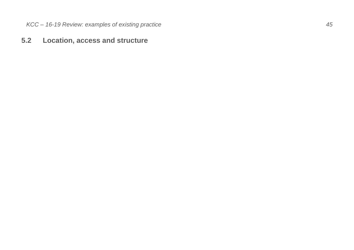### <span id="page-44-0"></span>**5.2 Location, access and structure**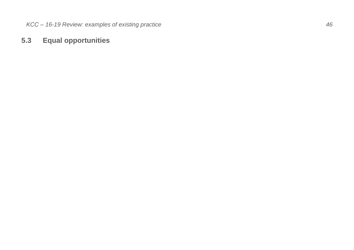### <span id="page-45-0"></span>**5.3 Equal opportunities**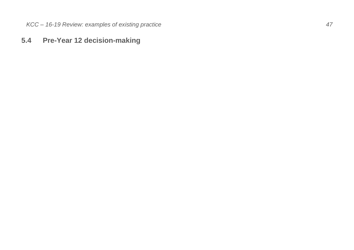#### <span id="page-46-0"></span>**5.4 Pre -Year 12 decision -making**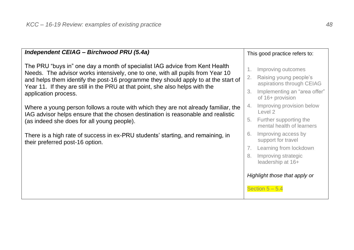| Independent CEIAG - Birchwood PRU (5.4a)                                                                                                                                                                                                                                                                                                                    |                | This good practice refers to:                                                                                                 |
|-------------------------------------------------------------------------------------------------------------------------------------------------------------------------------------------------------------------------------------------------------------------------------------------------------------------------------------------------------------|----------------|-------------------------------------------------------------------------------------------------------------------------------|
| The PRU "buys in" one day a month of specialist IAG advice from Kent Health<br>Needs. The advisor works intensively, one to one, with all pupils from Year 10<br>and helps them identify the post-16 programme they should apply to at the start of<br>Year 11. If they are still in the PRU at that point, she also helps with the<br>application process. | 1.<br>2.<br>3. | Improving outcomes<br>Raising young people's<br>aspirations through CEIAG<br>Implementing an "area offer"<br>of 16+ provision |
| Where a young person follows a route with which they are not already familiar, the<br>IAG advisor helps ensure that the chosen destination is reasonable and realistic<br>(as indeed she does for all young people).                                                                                                                                        | 4.             | Improving provision below<br>Level 2<br>5. Further supporting the<br>mental health of learners                                |
| There is a high rate of success in ex-PRU students' starting, and remaining, in<br>their preferred post-16 option.                                                                                                                                                                                                                                          | 6.<br>7.<br>8. | Improving access by<br>support for travel<br>Learning from lockdown<br>Improving strategic                                    |
|                                                                                                                                                                                                                                                                                                                                                             |                | leadership at 16+<br>Highlight those that apply or<br>Section $5 - 5.4$                                                       |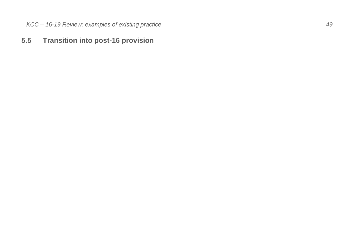#### <span id="page-48-0"></span>**5.5 Transition into post -16 provision**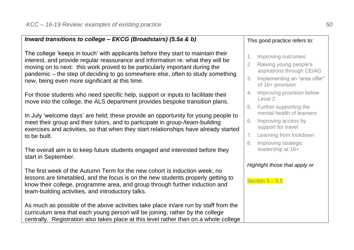| Inward transitions to college - EKCG (Broadstairs) (5.5a & b)                                                                                                                                                                                                                                                                                                                          |                                      | This good practice refers to:                                                                                                 |
|----------------------------------------------------------------------------------------------------------------------------------------------------------------------------------------------------------------------------------------------------------------------------------------------------------------------------------------------------------------------------------------|--------------------------------------|-------------------------------------------------------------------------------------------------------------------------------|
| The college 'keeps in touch' with applicants before they start to maintain their<br>interest, and provide regular reassurance and information re. what they will be<br>moving on to next: this work proved to be particularly important during the<br>pandemic - the step of deciding to go somewhere else, often to study something<br>new, being even more significant at this time. | 1.<br>2.<br>3.                       | Improving outcomes<br>Raising young people's<br>aspirations through CEIAG<br>Implementing an "area offer"<br>of 16+ provision |
| For those students who need specific help, support or inputs to facilitate their<br>move into the college, the ALS department provides bespoke transition plans.                                                                                                                                                                                                                       | 4.                                   | Improving provision below<br>Level 2<br>5. Further supporting the                                                             |
| In July 'welcome days' are held; these provide an opportunity for young people to<br>meet their group and their tutors, and to participate in group-/team-building<br>exercises and activities, so that when they start relationships have already started                                                                                                                             | 6.                                   | mental health of learners<br>Improving access by<br>support for travel                                                        |
| to be built.                                                                                                                                                                                                                                                                                                                                                                           | $7_{\scriptscriptstyle{\sim}}$<br>8. | Learning from lockdown<br>Improving strategic                                                                                 |
| The overall aim is to keep future students engaged and interested before they<br>start in September.                                                                                                                                                                                                                                                                                   |                                      | leadership at 16+                                                                                                             |
| The first week of the Autumn Term for the new cohort is induction week; no                                                                                                                                                                                                                                                                                                             |                                      | Highlight those that apply or                                                                                                 |
| lessons are timetabled, and the focus is on the new students properly getting to<br>know their college, programme area, and group through further induction and<br>team-building activities, and introductory talks.                                                                                                                                                                   |                                      | Section $5 - 5.5$                                                                                                             |
| As much as possible of the above activities take place in/are run by staff from the<br>curriculum area that each young person will be joining, rather by the college<br>centrally. Registration also takes place at this level rather than on a whole college                                                                                                                          |                                      |                                                                                                                               |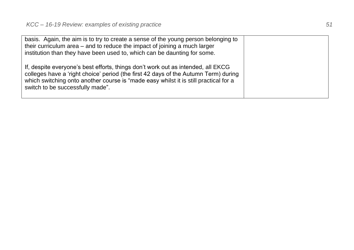| basis. Again, the aim is to try to create a sense of the young person belonging to<br>their curriculum area – and to reduce the impact of joining a much larger<br>institution than they have been used to, which can be daunting for some.                                                         |
|-----------------------------------------------------------------------------------------------------------------------------------------------------------------------------------------------------------------------------------------------------------------------------------------------------|
| If, despite everyone's best efforts, things don't work out as intended, all EKCG<br>colleges have a 'right choice' period (the first 42 days of the Autumn Term) during<br>which switching onto another course is "made easy whilst it is still practical for a<br>switch to be successfully made". |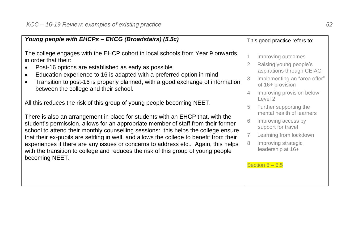| Young people with EHCPs - EKCG (Broadstairs) (5.5c)                                                                                                                                                                                                                                                                                                                                                                                                                                                                                                                                                                                                                                                                                                                                                                                                                                                                                                                                                                                   | This good practice refers to:                                                                                                                                                                                                                                                                                                                                                                                |
|---------------------------------------------------------------------------------------------------------------------------------------------------------------------------------------------------------------------------------------------------------------------------------------------------------------------------------------------------------------------------------------------------------------------------------------------------------------------------------------------------------------------------------------------------------------------------------------------------------------------------------------------------------------------------------------------------------------------------------------------------------------------------------------------------------------------------------------------------------------------------------------------------------------------------------------------------------------------------------------------------------------------------------------|--------------------------------------------------------------------------------------------------------------------------------------------------------------------------------------------------------------------------------------------------------------------------------------------------------------------------------------------------------------------------------------------------------------|
| The college engages with the EHCP cohort in local schools from Year 9 onwards<br>in order that their:<br>Post-16 options are established as early as possible<br>$\bullet$<br>Education experience to 16 is adapted with a preferred option in mind<br>$\bullet$<br>Transition to post-16 is properly planned, with a good exchange of information<br>$\bullet$<br>between the college and their school.<br>All this reduces the risk of this group of young people becoming NEET.<br>There is also an arrangement in place for students with an EHCP that, with the<br>student's permission, allows for an appropriate member of staff from their former<br>school to attend their monthly counselling sessions: this helps the college ensure<br>that their ex-pupils are settling in well, and allows the college to benefit from their<br>experiences if there are any issues or concerns to address etc Again, this helps<br>with the transition to college and reduces the risk of this group of young people<br>becoming NEET. | Improving outcomes<br>1<br>Raising young people's<br>2<br>aspirations through CEIAG<br>Implementing an "area offer"<br>3<br>of 16+ provision<br>Improving provision below<br>4<br>Level 2<br>Further supporting the<br>5<br>mental health of learners<br>6<br>Improving access by<br>support for travel<br>7<br>Learning from lockdown<br>8<br>Improving strategic<br>leadership at 16+<br>Section $5 - 5.5$ |
|                                                                                                                                                                                                                                                                                                                                                                                                                                                                                                                                                                                                                                                                                                                                                                                                                                                                                                                                                                                                                                       |                                                                                                                                                                                                                                                                                                                                                                                                              |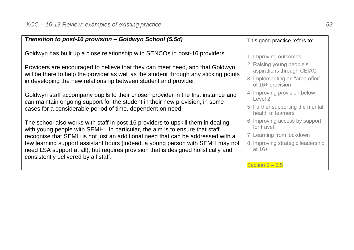| Transition to post-16 provision - Goldwyn School (5.5d)                                                                                                                | This good practice refers to:                         |
|------------------------------------------------------------------------------------------------------------------------------------------------------------------------|-------------------------------------------------------|
| Goldwyn has built up a close relationship with SENCOs in post-16 providers.                                                                                            | 1 Improving outcomes                                  |
| Providers are encouraged to believe that they can meet need, and that Goldwyn<br>will be there to help the provider as well as the student through any sticking points | 2 Raising young people's<br>aspirations through CEIAG |
| in developing the new relationship between student and provider.                                                                                                       | 3 Implementing an "area offer"<br>of 16+ provision    |
| Goldwyn staff accompany pupils to their chosen provider in the first instance and<br>can maintain ongoing support for the student in their new provision, in some      | 4 Improving provision below<br>Level 2                |
| cases for a considerable period of time, dependent on need.                                                                                                            | 5 Further supporting the mental<br>health of learners |
| The school also works with staff in post-16 providers to upskill them in dealing<br>with young people with SEMH. In particular, the aim is to ensure that staff        | 6 Improving access by support<br>for travel           |
| recognise that SEMH is not just an additional need that can be addressed with a                                                                                        | 7 Learning from lockdown                              |
| few learning support assistant hours (indeed, a young person with SEMH may not                                                                                         | 8 Improving strategic leadership                      |
| need LSA support at all), but requires provision that is designed holistically and                                                                                     | at $16+$                                              |
| consistently delivered by all staff.                                                                                                                                   |                                                       |
|                                                                                                                                                                        | Section $5 - 5.5$                                     |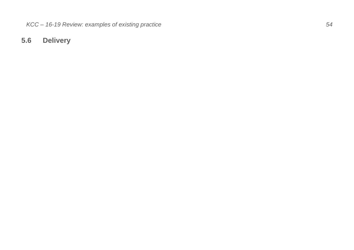## <span id="page-53-0"></span>**5.6 Delivery**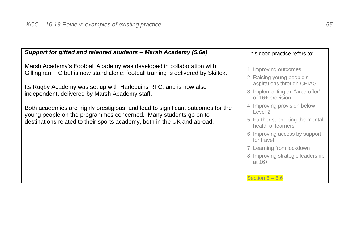| Support for gifted and talented students - Marsh Academy (5.6a)                                                                                                                                                                                                                                                                                                                                                                                                                                                    | This good practice refers to:                                                                                                                                                                                                                                           |
|--------------------------------------------------------------------------------------------------------------------------------------------------------------------------------------------------------------------------------------------------------------------------------------------------------------------------------------------------------------------------------------------------------------------------------------------------------------------------------------------------------------------|-------------------------------------------------------------------------------------------------------------------------------------------------------------------------------------------------------------------------------------------------------------------------|
| Marsh Academy's Football Academy was developed in collaboration with<br>Gillingham FC but is now stand alone; football training is delivered by Skiltek.<br>Its Rugby Academy was set up with Harlequins RFC, and is now also<br>independent, delivered by Marsh Academy staff.<br>Both academies are highly prestigious, and lead to significant outcomes for the<br>young people on the programmes concerned. Many students go on to<br>destinations related to their sports academy, both in the UK and abroad. | 1 Improving outcomes<br>2 Raising young people's<br>aspirations through CEIAG<br>3 Implementing an "area offer"<br>of 16+ provision<br>4 Improving provision below<br>Level 2<br>5 Further supporting the mental<br>health of learners<br>6 Improving access by support |
|                                                                                                                                                                                                                                                                                                                                                                                                                                                                                                                    | for travel<br>7 Learning from lockdown<br>8 Improving strategic leadership<br>at $16+$<br>Section $5 - 5.6$                                                                                                                                                             |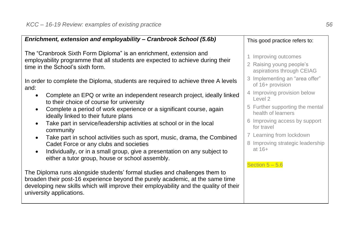| Enrichment, extension and employability - Cranbrook School (5.6b)<br>The "Cranbrook Sixth Form Diploma" is an enrichment, extension and<br>employability programme that all students are expected to achieve during their<br>time in the School's sixth form.<br>In order to complete the Diploma, students are required to achieve three A levels<br>and:<br>Complete an EPQ or write an independent research project, ideally linked<br>$\bullet$<br>to their choice of course for university | This good practice refers to:<br>Improving outcomes<br>2 Raising young people's<br>aspirations through CEIAG<br>3 Implementing an "area offer"<br>of 16+ provision<br>4 Improving provision below<br>Level 2<br>5 Further supporting the mental |
|-------------------------------------------------------------------------------------------------------------------------------------------------------------------------------------------------------------------------------------------------------------------------------------------------------------------------------------------------------------------------------------------------------------------------------------------------------------------------------------------------|-------------------------------------------------------------------------------------------------------------------------------------------------------------------------------------------------------------------------------------------------|
|                                                                                                                                                                                                                                                                                                                                                                                                                                                                                                 |                                                                                                                                                                                                                                                 |
|                                                                                                                                                                                                                                                                                                                                                                                                                                                                                                 |                                                                                                                                                                                                                                                 |
|                                                                                                                                                                                                                                                                                                                                                                                                                                                                                                 |                                                                                                                                                                                                                                                 |
|                                                                                                                                                                                                                                                                                                                                                                                                                                                                                                 |                                                                                                                                                                                                                                                 |
| Complete a period of work experience or a significant course, again<br>ideally linked to their future plans                                                                                                                                                                                                                                                                                                                                                                                     | health of learners                                                                                                                                                                                                                              |
| Take part in service/leadership activities at school or in the local<br>community                                                                                                                                                                                                                                                                                                                                                                                                               | 6 Improving access by support<br>for travel                                                                                                                                                                                                     |
| Take part in school activities such as sport, music, drama, the Combined<br>$\bullet$<br>Cadet Force or any clubs and societies                                                                                                                                                                                                                                                                                                                                                                 | 7 Learning from lockdown<br>8 Improving strategic leadership                                                                                                                                                                                    |
| Individually, or in a small group, give a presentation on any subject to<br>$\bullet$<br>either a tutor group, house or school assembly.                                                                                                                                                                                                                                                                                                                                                        | at $16+$                                                                                                                                                                                                                                        |
| The Diploma runs alongside students' formal studies and challenges them to<br>broaden their post-16 experience beyond the purely academic, at the same time<br>developing new skills which will improve their employability and the quality of their<br>university applications.                                                                                                                                                                                                                | Section $5 - 5.6$                                                                                                                                                                                                                               |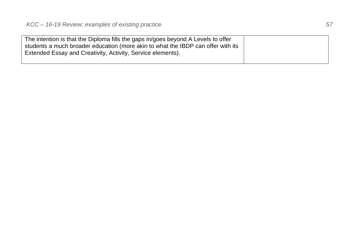| The intention is that the Diploma fills the gaps in/goes beyond A Levels to offer |  |
|-----------------------------------------------------------------------------------|--|
| students a much broader education (more akin to what the IBDP can offer with its  |  |
| Extended Essay and Creativity, Activity, Service elements).                       |  |
|                                                                                   |  |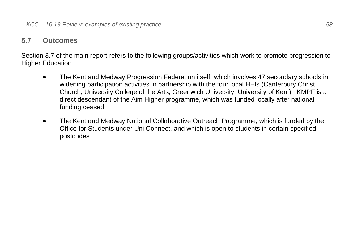#### <span id="page-57-0"></span>**5.7 Outcomes**

Section 3.7 of the main report refers to the following groups/activities which work to promote progression to Higher Education.

- The Kent and Medway Progression Federation itself, which involves 47 secondary schools in widening participation activities in partnership with the four local HEIs (Canterbury Christ Church, University College of the Arts, Greenwich University, University of Kent). KMPF is a direct descendant of the Aim Higher programme, which was funded locally after national funding ceased
- The Kent and Medway National Collaborative Outreach Programme, which is funded by the Office for Students under Uni Connect, and which is open to students in certain specified postcodes.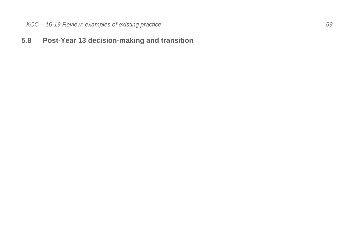### <span id="page-58-0"></span>**5.8 Post -Year 13 decision -making and transition**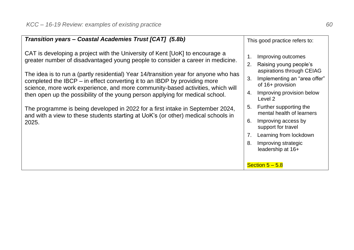| Transition years - Coastal Academies Trust [CAT] (5.8b)                                                                                                                                                                                                                                                                                                                                                                                                                                                                                                                                                                                                                                | This good practice refers to:                                                                                                                                                                                                                                                                                                                                                                                        |
|----------------------------------------------------------------------------------------------------------------------------------------------------------------------------------------------------------------------------------------------------------------------------------------------------------------------------------------------------------------------------------------------------------------------------------------------------------------------------------------------------------------------------------------------------------------------------------------------------------------------------------------------------------------------------------------|----------------------------------------------------------------------------------------------------------------------------------------------------------------------------------------------------------------------------------------------------------------------------------------------------------------------------------------------------------------------------------------------------------------------|
| CAT is developing a project with the University of Kent [UoK] to encourage a<br>greater number of disadvantaged young people to consider a career in medicine.<br>The idea is to run a (partly residential) Year 14/transition year for anyone who has<br>completed the IBCP – in effect converting it to an IBDP by providing more<br>science, more work experience, and more community-based activities, which will<br>then open up the possibility of the young person applying for medical school.<br>The programme is being developed in 2022 for a first intake in September 2024,<br>and with a view to these students starting at UoK's (or other) medical schools in<br>2025. | Improving outcomes<br>1.<br>Raising young people's<br>2.<br>aspirations through CEIAG<br>Implementing an "area offer"<br>3.<br>of 16+ provision<br>Improving provision below<br>4.<br>Level 2<br>Further supporting the<br>5.<br>mental health of learners<br>Improving access by<br>6.<br>support for travel<br>Learning from lockdown<br>7.<br>8.<br>Improving strategic<br>leadership at 16+<br>Section $5 - 5.8$ |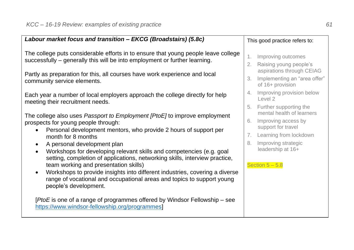| Labour market focus and transition - EKCG (Broadstairs) (5.8c)                                                                                                                                                                                                                                                                                                                              |                      | This good practice refers to:                                                 |
|---------------------------------------------------------------------------------------------------------------------------------------------------------------------------------------------------------------------------------------------------------------------------------------------------------------------------------------------------------------------------------------------|----------------------|-------------------------------------------------------------------------------|
| The college puts considerable efforts in to ensure that young people leave college<br>successfully - generally this will be into employment or further learning.                                                                                                                                                                                                                            | 1.<br>2.             | Improving outcomes<br>Raising young people's                                  |
| Partly as preparation for this, all courses have work experience and local<br>community service elements.                                                                                                                                                                                                                                                                                   | 3.                   | aspirations through CEIAG<br>Implementing an "area offer"<br>of 16+ provision |
| Each year a number of local employers approach the college directly for help<br>meeting their recruitment needs.                                                                                                                                                                                                                                                                            |                      | 4. Improving provision below<br>Level 2<br>5. Further supporting the          |
| The college also uses <i>Passport to Employment [PtoE]</i> to improve employment<br>prospects for young people through:                                                                                                                                                                                                                                                                     | 6.                   | mental health of learners<br>Improving access by<br>support for travel        |
| Personal development mentors, who provide 2 hours of support per<br>month for 8 months<br>A personal development plan                                                                                                                                                                                                                                                                       | 7 <sub>1</sub><br>8. | Learning from lockdown<br>Improving strategic<br>leadership at 16+            |
| Workshops for developing relevant skills and competencies (e.g. goal<br>$\bullet$<br>setting, completion of applications, networking skills, interview practice,<br>team working and presentation skills)<br>Workshops to provide insights into different industries, covering a diverse<br>range of vocational and occupational areas and topics to support young<br>people's development. |                      | Section $5 - 5.8$                                                             |
| [PtoE is one of a range of programmes offered by Windsor Fellowship - see<br>https://www.windsor-fellowship.org/programmes]                                                                                                                                                                                                                                                                 |                      |                                                                               |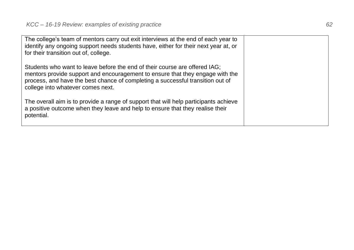The college's team of mentors carry out exit interviews at the end of each year to identify any ongoing support needs students have, either for their next year at, or for their transition out of, college. Students who want to leave before the end of their course are offered IAG; mentors provide support and encouragement to ensure that they engage with the process, and have the best chance of completing a successful transition out of college into whatever comes next.

The overall aim is to provide a range of support that will help participants achieve a positive outcome when they leave and help to ensure that they realise their potential.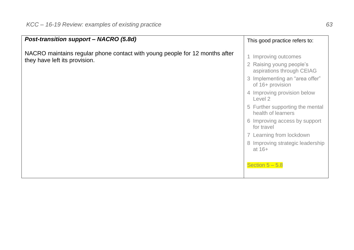| Post-transition support - NACRO (5.8d)                                                                       | This good practice refers to:                                                                                                                                                                                                                                                                                                                                                        |
|--------------------------------------------------------------------------------------------------------------|--------------------------------------------------------------------------------------------------------------------------------------------------------------------------------------------------------------------------------------------------------------------------------------------------------------------------------------------------------------------------------------|
| NACRO maintains regular phone contact with young people for 12 months after<br>they have left its provision. | Improving outcomes<br>2 Raising young people's<br>aspirations through CEIAG<br>3 Implementing an "area offer"<br>of 16+ provision<br>4 Improving provision below<br>Level 2<br>5 Further supporting the mental<br>health of learners<br>6 Improving access by support<br>for travel<br>7 Learning from lockdown<br>8 Improving strategic leadership<br>at $16+$<br>Section $5 - 5.8$ |
|                                                                                                              |                                                                                                                                                                                                                                                                                                                                                                                      |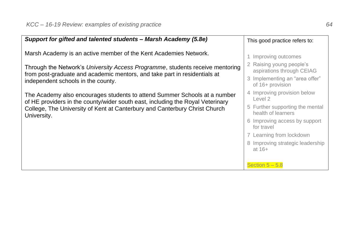| Support for gifted and talented students - Marsh Academy (5.8e)                                                                                                                                                                                          | This good practice refers to:                                                   |
|----------------------------------------------------------------------------------------------------------------------------------------------------------------------------------------------------------------------------------------------------------|---------------------------------------------------------------------------------|
| Marsh Academy is an active member of the Kent Academies Network.                                                                                                                                                                                         | 1 Improving outcomes<br>2 Raising young people's                                |
| Through the Network's University Access Programme, students receive mentoring<br>from post-graduate and academic mentors, and take part in residentials at<br>independent schools in the county.                                                         | aspirations through CEIAG<br>3 Implementing an "area offer"<br>of 16+ provision |
| The Academy also encourages students to attend Summer Schools at a number<br>of HE providers in the county/wider south east, including the Royal Veterinary<br>College, The University of Kent at Canterbury and Canterbury Christ Church<br>University. | 4 Improving provision below<br>Level 2                                          |
|                                                                                                                                                                                                                                                          | 5 Further supporting the mental<br>health of learners                           |
|                                                                                                                                                                                                                                                          | 6 Improving access by support<br>for travel                                     |
|                                                                                                                                                                                                                                                          | 7 Learning from lockdown                                                        |
|                                                                                                                                                                                                                                                          | 8 Improving strategic leadership<br>at $16+$                                    |
|                                                                                                                                                                                                                                                          | Section $5 - 5.8$                                                               |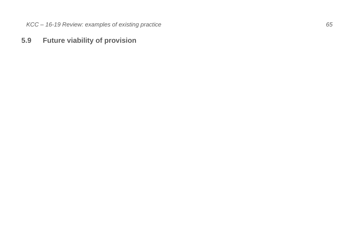### <span id="page-64-0"></span>**5.9 Future viability of provision**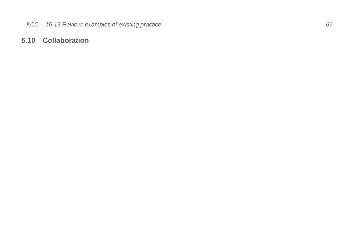### <span id="page-65-0"></span>**5.10 Collaboration**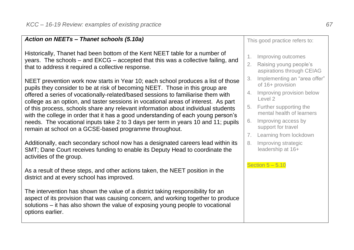| Action on NEETs - Thanet schools (5.10a)                                                                                                                                                                                                                                                                                                                                                                                                                                                                                                                                                                                                                            | This good practice refers to: |                                                                                                                                                                                                                        |
|---------------------------------------------------------------------------------------------------------------------------------------------------------------------------------------------------------------------------------------------------------------------------------------------------------------------------------------------------------------------------------------------------------------------------------------------------------------------------------------------------------------------------------------------------------------------------------------------------------------------------------------------------------------------|-------------------------------|------------------------------------------------------------------------------------------------------------------------------------------------------------------------------------------------------------------------|
| Historically, Thanet had been bottom of the Kent NEET table for a number of<br>years. The schools – and EKCG – accepted that this was a collective failing, and<br>that to address it required a collective response.                                                                                                                                                                                                                                                                                                                                                                                                                                               | 1.                            | Improving outcomes<br>2. Raising young people's<br>aspirations through CEIAG                                                                                                                                           |
| NEET prevention work now starts in Year 10; each school produces a list of those<br>pupils they consider to be at risk of becoming NEET. Those in this group are<br>offered a series of vocationally-related/based sessions to familiarise them with<br>college as an option, and taster sessions in vocational areas of interest. As part<br>of this process, schools share any relevant information about individual students<br>with the college in order that it has a good understanding of each young person's<br>needs. The vocational inputs take 2 to 3 days per term in years 10 and 11; pupils<br>remain at school on a GCSE-based programme throughout. | 3.<br>4.<br>5.<br>6.<br>7.    | Implementing an "area offer"<br>of 16+ provision<br>Improving provision below<br>Level 2<br>Further supporting the<br>mental health of learners<br>Improving access by<br>support for travel<br>Learning from lockdown |
| Additionally, each secondary school now has a designated careers lead within its<br>SMT; Dane Court receives funding to enable its Deputy Head to coordinate the<br>activities of the group.                                                                                                                                                                                                                                                                                                                                                                                                                                                                        | 8.                            | Improving strategic<br>leadership at 16+<br>Section $5 - 5.10$                                                                                                                                                         |
| As a result of these steps, and other actions taken, the NEET position in the<br>district and at every school has improved.                                                                                                                                                                                                                                                                                                                                                                                                                                                                                                                                         |                               |                                                                                                                                                                                                                        |
| The intervention has shown the value of a district taking responsibility for an<br>aspect of its provision that was causing concern, and working together to produce<br>solutions – it has also shown the value of exposing young people to vocational<br>options earlier.                                                                                                                                                                                                                                                                                                                                                                                          |                               |                                                                                                                                                                                                                        |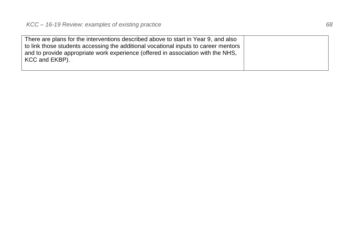| There are plans for the interventions described above to start in Year 9, and also  |  |
|-------------------------------------------------------------------------------------|--|
| to link those students accessing the additional vocational inputs to career mentors |  |
| and to provide appropriate work experience (offered in association with the NHS,    |  |
| KCC and EKBP).                                                                      |  |
|                                                                                     |  |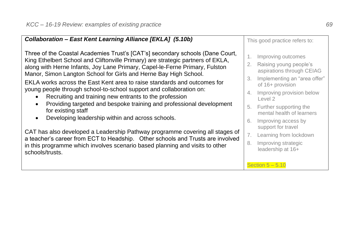| Collaboration - East Kent Learning Alliance [EKLA] (5.10b)                                                                                                                                                                                                                                                                                                                                                                                                                                                                                                                                                                                                                                      |                                  | This good practice refers to:                                                                                                                                                                                                                       |
|-------------------------------------------------------------------------------------------------------------------------------------------------------------------------------------------------------------------------------------------------------------------------------------------------------------------------------------------------------------------------------------------------------------------------------------------------------------------------------------------------------------------------------------------------------------------------------------------------------------------------------------------------------------------------------------------------|----------------------------------|-----------------------------------------------------------------------------------------------------------------------------------------------------------------------------------------------------------------------------------------------------|
| Three of the Coastal Academies Trust's [CAT's] secondary schools (Dane Court,<br>King Ethelbert School and Cliftonville Primary) are strategic partners of EKLA,<br>along with Herne Infants, Joy Lane Primary, Capel-le-Ferne Primary, Fulston<br>Manor, Simon Langton School for Girls and Herne Bay High School.<br>EKLA works across the East Kent area to raise standards and outcomes for<br>young people through school-to-school support and collaboration on:<br>Recruiting and training new entrants to the profession<br>$\bullet$<br>Providing targeted and bespoke training and professional development<br>for existing staff<br>Developing leadership within and across schools. | 1.<br>2.<br>3.<br>4.<br>5.<br>6. | Improving outcomes<br>Raising young people's<br>aspirations through CEIAG<br>Implementing an "area offer"<br>of 16+ provision<br>Improving provision below<br>Level 2<br>Further supporting the<br>mental health of learners<br>Improving access by |
| CAT has also developed a Leadership Pathway programme covering all stages of<br>a teacher's career from ECT to Headship. Other schools and Trusts are involved<br>in this programme which involves scenario based planning and visits to other<br>schools/trusts.                                                                                                                                                                                                                                                                                                                                                                                                                               | 7.<br>8.                         | support for travel<br>Learning from lockdown<br>Improving strategic<br>leadership at 16+                                                                                                                                                            |
|                                                                                                                                                                                                                                                                                                                                                                                                                                                                                                                                                                                                                                                                                                 |                                  | Section $5 - 5.10$                                                                                                                                                                                                                                  |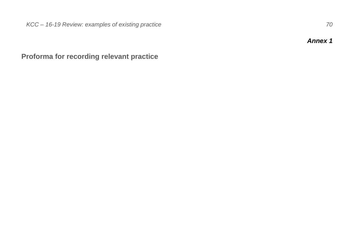*Annex 1*

<span id="page-69-1"></span><span id="page-69-0"></span>**Proforma for recording relevant practice**